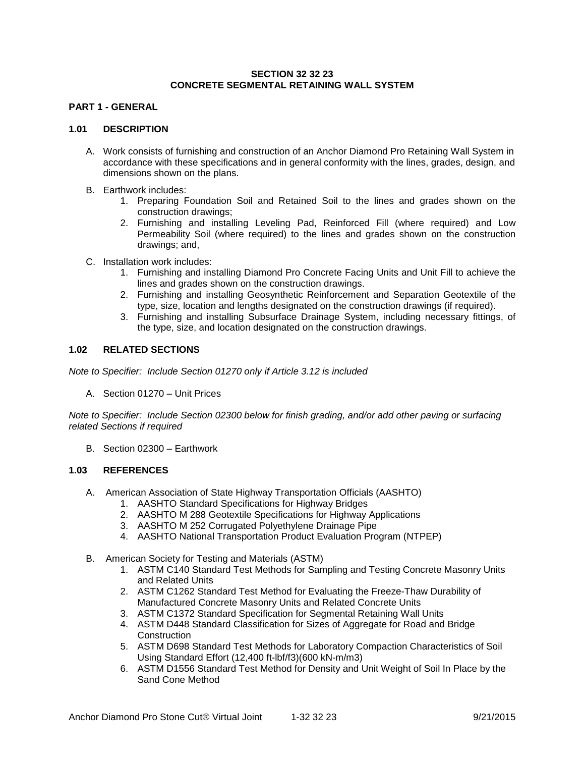### **SECTION 32 32 23 CONCRETE SEGMENTAL RETAINING WALL SYSTEM**

# **PART 1 - GENERAL**

### **1.01 DESCRIPTION**

- A. Work consists of furnishing and construction of an Anchor Diamond Pro Retaining Wall System in accordance with these specifications and in general conformity with the lines, grades, design, and dimensions shown on the plans.
- B. Earthwork includes:
	- 1. Preparing Foundation Soil and Retained Soil to the lines and grades shown on the construction drawings;
	- 2. Furnishing and installing Leveling Pad, Reinforced Fill (where required) and Low Permeability Soil (where required) to the lines and grades shown on the construction drawings; and,
- C. Installation work includes:
	- 1. Furnishing and installing Diamond Pro Concrete Facing Units and Unit Fill to achieve the lines and grades shown on the construction drawings.
	- 2. Furnishing and installing Geosynthetic Reinforcement and Separation Geotextile of the type, size, location and lengths designated on the construction drawings (if required).
	- 3. Furnishing and installing Subsurface Drainage System, including necessary fittings, of the type, size, and location designated on the construction drawings.

# **1.02 RELATED SECTIONS**

*Note to Specifier: Include Section 01270 only if Article 3.12 is included*

A. Section 01270 – Unit Prices

*Note to Specifier: Include Section 02300 below for finish grading, and/or add other paving or surfacing related Sections if required*

B. Section 02300 – Earthwork

# **1.03 REFERENCES**

- A. American Association of State Highway Transportation Officials (AASHTO)
	- 1. AASHTO Standard Specifications for Highway Bridges
	- 2. AASHTO M 288 Geotextile Specifications for Highway Applications
	- 3. AASHTO M 252 Corrugated Polyethylene Drainage Pipe
	- 4. AASHTO National Transportation Product Evaluation Program (NTPEP)
- B. American Society for Testing and Materials (ASTM)
	- 1. ASTM C140 Standard Test Methods for Sampling and Testing Concrete Masonry Units and Related Units
	- 2. ASTM C1262 Standard Test Method for Evaluating the Freeze-Thaw Durability of Manufactured Concrete Masonry Units and Related Concrete Units
	- 3. ASTM C1372 Standard Specification for Segmental Retaining Wall Units
	- 4. ASTM D448 Standard Classification for Sizes of Aggregate for Road and Bridge **Construction**
	- 5. ASTM D698 Standard Test Methods for Laboratory Compaction Characteristics of Soil Using Standard Effort (12,400 ft-lbf/f3)(600 kN-m/m3)
	- 6. ASTM D1556 Standard Test Method for Density and Unit Weight of Soil In Place by the Sand Cone Method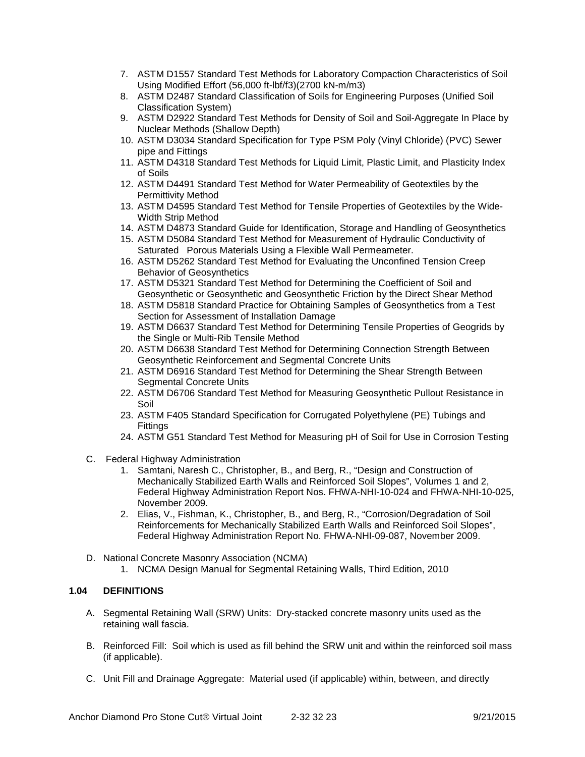- 7. ASTM D1557 Standard Test Methods for Laboratory Compaction Characteristics of Soil Using Modified Effort (56,000 ft-lbf/f3)(2700 kN-m/m3)
- 8. ASTM D2487 Standard Classification of Soils for Engineering Purposes (Unified Soil Classification System)
- 9. ASTM D2922 Standard Test Methods for Density of Soil and Soil-Aggregate In Place by Nuclear Methods (Shallow Depth)
- 10. ASTM D3034 Standard Specification for Type PSM Poly (Vinyl Chloride) (PVC) Sewer pipe and Fittings
- 11. ASTM D4318 Standard Test Methods for Liquid Limit, Plastic Limit, and Plasticity Index of Soils
- 12. ASTM D4491 Standard Test Method for Water Permeability of Geotextiles by the Permittivity Method
- 13. ASTM D4595 Standard Test Method for Tensile Properties of Geotextiles by the Wide-Width Strip Method
- 14. ASTM D4873 Standard Guide for Identification, Storage and Handling of Geosynthetics
- 15. ASTM D5084 Standard Test Method for Measurement of Hydraulic Conductivity of Saturated Porous Materials Using a Flexible Wall Permeameter.
- 16. ASTM D5262 Standard Test Method for Evaluating the Unconfined Tension Creep Behavior of Geosynthetics
- 17. ASTM D5321 Standard Test Method for Determining the Coefficient of Soil and Geosynthetic or Geosynthetic and Geosynthetic Friction by the Direct Shear Method
- 18. ASTM D5818 Standard Practice for Obtaining Samples of Geosynthetics from a Test Section for Assessment of Installation Damage
- 19. ASTM D6637 Standard Test Method for Determining Tensile Properties of Geogrids by the Single or Multi-Rib Tensile Method
- 20. ASTM D6638 Standard Test Method for Determining Connection Strength Between Geosynthetic Reinforcement and Segmental Concrete Units
- 21. ASTM D6916 Standard Test Method for Determining the Shear Strength Between Segmental Concrete Units
- 22. ASTM D6706 Standard Test Method for Measuring Geosynthetic Pullout Resistance in Soil
- 23. ASTM F405 Standard Specification for Corrugated Polyethylene (PE) Tubings and **Fittings**
- 24. ASTM G51 Standard Test Method for Measuring pH of Soil for Use in Corrosion Testing
- C. Federal Highway Administration
	- 1. Samtani, Naresh C., Christopher, B., and Berg, R., "Design and Construction of Mechanically Stabilized Earth Walls and Reinforced Soil Slopes", Volumes 1 and 2, Federal Highway Administration Report Nos. FHWA-NHI-10-024 and FHWA-NHI-10-025, November 2009.
	- 2. Elias, V., Fishman, K., Christopher, B., and Berg, R., "Corrosion/Degradation of Soil Reinforcements for Mechanically Stabilized Earth Walls and Reinforced Soil Slopes", Federal Highway Administration Report No. FHWA-NHI-09-087, November 2009.
- D. National Concrete Masonry Association (NCMA)
	- 1. NCMA Design Manual for Segmental Retaining Walls, Third Edition, 2010

# **1.04 DEFINITIONS**

- A. Segmental Retaining Wall (SRW) Units: Dry-stacked concrete masonry units used as the retaining wall fascia.
- B. Reinforced Fill: Soil which is used as fill behind the SRW unit and within the reinforced soil mass (if applicable).
- C. Unit Fill and Drainage Aggregate: Material used (if applicable) within, between, and directly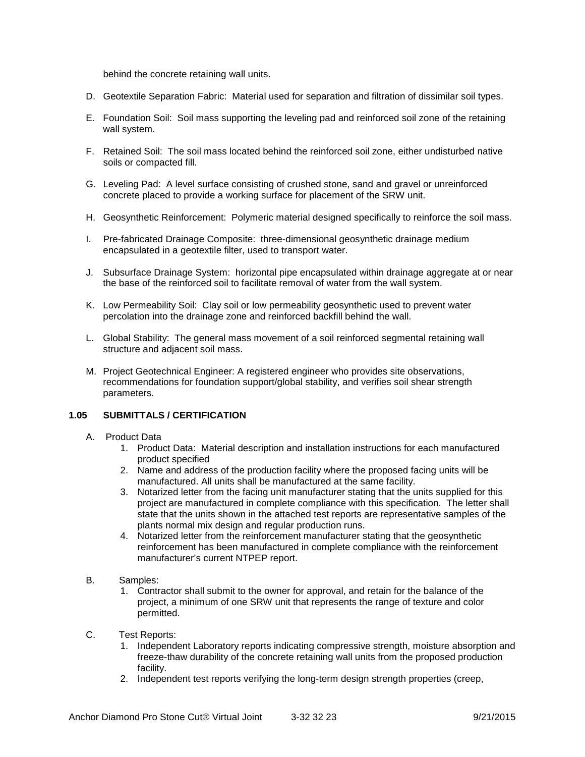behind the concrete retaining wall units.

- D. Geotextile Separation Fabric: Material used for separation and filtration of dissimilar soil types.
- E. Foundation Soil: Soil mass supporting the leveling pad and reinforced soil zone of the retaining wall system.
- F. Retained Soil: The soil mass located behind the reinforced soil zone, either undisturbed native soils or compacted fill.
- G. Leveling Pad: A level surface consisting of crushed stone, sand and gravel or unreinforced concrete placed to provide a working surface for placement of the SRW unit.
- H. Geosynthetic Reinforcement: Polymeric material designed specifically to reinforce the soil mass.
- I. Pre-fabricated Drainage Composite: three-dimensional geosynthetic drainage medium encapsulated in a geotextile filter, used to transport water.
- J. Subsurface Drainage System: horizontal pipe encapsulated within drainage aggregate at or near the base of the reinforced soil to facilitate removal of water from the wall system.
- K. Low Permeability Soil: Clay soil or low permeability geosynthetic used to prevent water percolation into the drainage zone and reinforced backfill behind the wall.
- L. Global Stability: The general mass movement of a soil reinforced segmental retaining wall structure and adjacent soil mass.
- M. Project Geotechnical Engineer: A registered engineer who provides site observations, recommendations for foundation support/global stability, and verifies soil shear strength parameters.

# **1.05 SUBMITTALS / CERTIFICATION**

- A. Product Data
	- 1. Product Data: Material description and installation instructions for each manufactured product specified
	- 2. Name and address of the production facility where the proposed facing units will be manufactured. All units shall be manufactured at the same facility.
	- 3. Notarized letter from the facing unit manufacturer stating that the units supplied for this project are manufactured in complete compliance with this specification. The letter shall state that the units shown in the attached test reports are representative samples of the plants normal mix design and regular production runs.
	- 4. Notarized letter from the reinforcement manufacturer stating that the geosynthetic reinforcement has been manufactured in complete compliance with the reinforcement manufacturer's current NTPEP report.
- B. Samples:
	- 1. Contractor shall submit to the owner for approval, and retain for the balance of the project, a minimum of one SRW unit that represents the range of texture and color permitted.
- C. Test Reports:
	- 1. Independent Laboratory reports indicating compressive strength, moisture absorption and freeze-thaw durability of the concrete retaining wall units from the proposed production facility.
	- 2. Independent test reports verifying the long-term design strength properties (creep,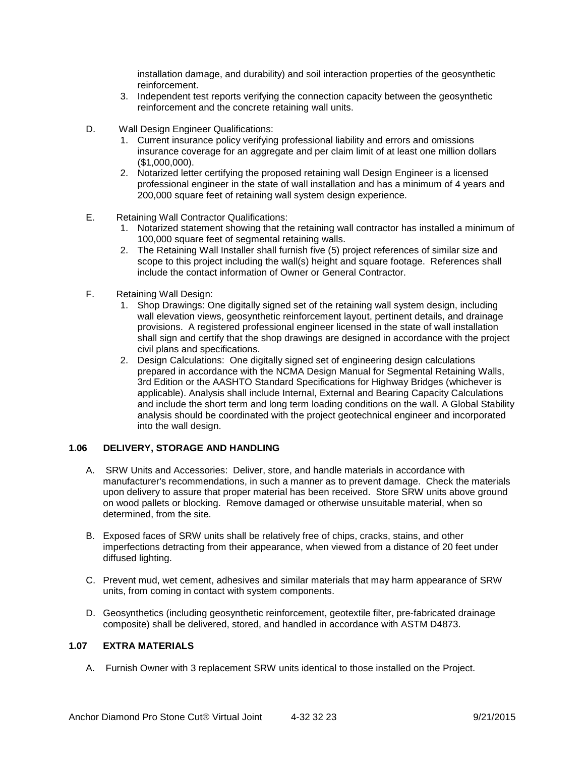installation damage, and durability) and soil interaction properties of the geosynthetic reinforcement.

- 3. Independent test reports verifying the connection capacity between the geosynthetic reinforcement and the concrete retaining wall units.
- D. Wall Design Engineer Qualifications:
	- 1. Current insurance policy verifying professional liability and errors and omissions insurance coverage for an aggregate and per claim limit of at least one million dollars (\$1,000,000).
	- 2. Notarized letter certifying the proposed retaining wall Design Engineer is a licensed professional engineer in the state of wall installation and has a minimum of 4 years and 200,000 square feet of retaining wall system design experience.
- E. Retaining Wall Contractor Qualifications:
	- 1. Notarized statement showing that the retaining wall contractor has installed a minimum of 100,000 square feet of segmental retaining walls.
	- 2. The Retaining Wall Installer shall furnish five (5) project references of similar size and scope to this project including the wall(s) height and square footage. References shall include the contact information of Owner or General Contractor.
- F. Retaining Wall Design:
	- 1. Shop Drawings: One digitally signed set of the retaining wall system design, including wall elevation views, geosynthetic reinforcement layout, pertinent details, and drainage provisions. A registered professional engineer licensed in the state of wall installation shall sign and certify that the shop drawings are designed in accordance with the project civil plans and specifications.
	- 2. Design Calculations: One digitally signed set of engineering design calculations prepared in accordance with the NCMA Design Manual for Segmental Retaining Walls, 3rd Edition or the AASHTO Standard Specifications for Highway Bridges (whichever is applicable). Analysis shall include Internal, External and Bearing Capacity Calculations and include the short term and long term loading conditions on the wall. A Global Stability analysis should be coordinated with the project geotechnical engineer and incorporated into the wall design.

# **1.06 DELIVERY, STORAGE AND HANDLING**

- A. SRW Units and Accessories: Deliver, store, and handle materials in accordance with manufacturer's recommendations, in such a manner as to prevent damage. Check the materials upon delivery to assure that proper material has been received. Store SRW units above ground on wood pallets or blocking. Remove damaged or otherwise unsuitable material, when so determined, from the site.
- B. Exposed faces of SRW units shall be relatively free of chips, cracks, stains, and other imperfections detracting from their appearance, when viewed from a distance of 20 feet under diffused lighting.
- C. Prevent mud, wet cement, adhesives and similar materials that may harm appearance of SRW units, from coming in contact with system components.
- D. Geosynthetics (including geosynthetic reinforcement, geotextile filter, pre-fabricated drainage composite) shall be delivered, stored, and handled in accordance with ASTM D4873.

## **1.07 EXTRA MATERIALS**

A. Furnish Owner with 3 replacement SRW units identical to those installed on the Project.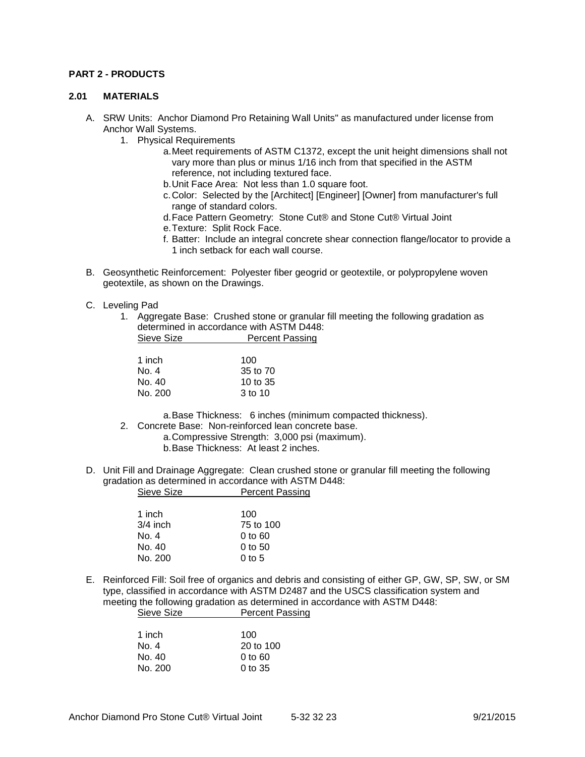### **PART 2 - PRODUCTS**

#### **2.01 MATERIALS**

- A. SRW Units: Anchor Diamond Pro Retaining Wall Units" as manufactured under license from Anchor Wall Systems.
	- 1. Physical Requirements
		- a.Meet requirements of ASTM C1372, except the unit height dimensions shall not vary more than plus or minus 1/16 inch from that specified in the ASTM reference, not including textured face.
		- b.Unit Face Area: Not less than 1.0 square foot.
		- c.Color: Selected by the [Architect] [Engineer] [Owner] from manufacturer's full range of standard colors.
		- d.Face Pattern Geometry: Stone Cut® and Stone Cut® Virtual Joint
		- e.Texture: Split Rock Face.
		- f. Batter: Include an integral concrete shear connection flange/locator to provide a 1 inch setback for each wall course.
- B. Geosynthetic Reinforcement: Polyester fiber geogrid or geotextile, or polypropylene woven geotextile, as shown on the Drawings.
- C. Leveling Pad
	- 1. Aggregate Base: Crushed stone or granular fill meeting the following gradation as determined in accordance with ASTM D448: Sieve Size **Percent Passing**

| 1 inch  | 100      |
|---------|----------|
| No. 4   | 35 to 70 |
| No. 40  | 10 to 35 |
| No. 200 | 3 to 10  |

a.Base Thickness: 6 inches (minimum compacted thickness).

- 2. Concrete Base: Non-reinforced lean concrete base.
	- a.Compressive Strength: 3,000 psi (maximum).
		- b.Base Thickness: At least 2 inches.
- D. Unit Fill and Drainage Aggregate: Clean crushed stone or granular fill meeting the following gradation as determined in accordance with ASTM D448: Sieve Size **Percent Passing**

| 1 inch     | 100               |
|------------|-------------------|
| $3/4$ inch | 75 to 100         |
| No. 4      | $0$ to $60$       |
| No. 40     | $0$ to 50         |
| No. 200    | $0 \text{ to } 5$ |
|            |                   |

E. Reinforced Fill: Soil free of organics and debris and consisting of either GP, GW, SP, SW, or SM type, classified in accordance with ASTM D2487 and the USCS classification system and meeting the following gradation as determined in accordance with ASTM D448: Sieve Size **Percent Passing** 

| 1 inch  | 100       |
|---------|-----------|
| No. 4   | 20 to 100 |
| No. 40  | 0 to 60   |
| No. 200 | $0$ to 35 |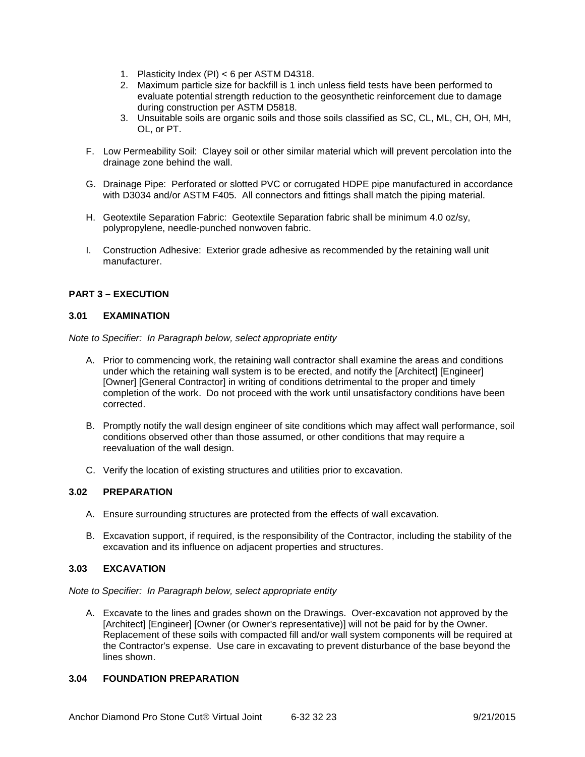- 1. Plasticity Index (PI) < 6 per ASTM D4318.
- 2. Maximum particle size for backfill is 1 inch unless field tests have been performed to evaluate potential strength reduction to the geosynthetic reinforcement due to damage during construction per ASTM D5818.
- 3. Unsuitable soils are organic soils and those soils classified as SC, CL, ML, CH, OH, MH, OL, or PT.
- F. Low Permeability Soil: Clayey soil or other similar material which will prevent percolation into the drainage zone behind the wall.
- G. Drainage Pipe: Perforated or slotted PVC or corrugated HDPE pipe manufactured in accordance with D3034 and/or ASTM F405. All connectors and fittings shall match the piping material.
- H. Geotextile Separation Fabric: Geotextile Separation fabric shall be minimum 4.0 oz/sy, polypropylene, needle-punched nonwoven fabric.
- I. Construction Adhesive: Exterior grade adhesive as recommended by the retaining wall unit manufacturer.

# **PART 3 – EXECUTION**

### **3.01 EXAMINATION**

*Note to Specifier: In Paragraph below, select appropriate entity*

- A. Prior to commencing work, the retaining wall contractor shall examine the areas and conditions under which the retaining wall system is to be erected, and notify the [Architect] [Engineer] [Owner] [General Contractor] in writing of conditions detrimental to the proper and timely completion of the work. Do not proceed with the work until unsatisfactory conditions have been corrected.
- B. Promptly notify the wall design engineer of site conditions which may affect wall performance, soil conditions observed other than those assumed, or other conditions that may require a reevaluation of the wall design.
- C. Verify the location of existing structures and utilities prior to excavation.

#### **3.02 PREPARATION**

- A. Ensure surrounding structures are protected from the effects of wall excavation.
- B. Excavation support, if required, is the responsibility of the Contractor, including the stability of the excavation and its influence on adjacent properties and structures.

### **3.03 EXCAVATION**

*Note to Specifier: In Paragraph below, select appropriate entity*

A. Excavate to the lines and grades shown on the Drawings. Over-excavation not approved by the [Architect] [Engineer] [Owner (or Owner's representative)] will not be paid for by the Owner. Replacement of these soils with compacted fill and/or wall system components will be required at the Contractor's expense. Use care in excavating to prevent disturbance of the base beyond the lines shown.

# **3.04 FOUNDATION PREPARATION**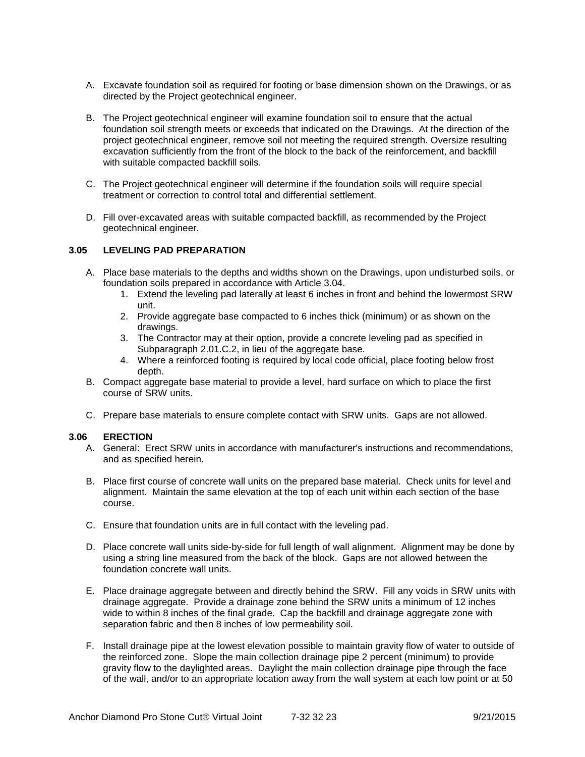- A. Excavate foundation soil as required for footing or base dimension shown on the Drawings, or as directed by the Project geotechnical engineer.
- B. The Project geotechnical engineer will examine foundation soil to ensure that the actual foundation soil strength meets or exceeds that indicated on the Drawings. At the direction of the project geotechnical engineer, remove soil not meeting the required strength. Oversize resulting excavation sufficiently from the front of the block to the back of the reinforcement, and backfill with suitable compacted backfill soils.
- C. The Project geotechnical engineer will determine if the foundation soils will require special treatment or correction to control total and differential settlement.
- D. Fill over-excavated areas with suitable compacted backfill, as recommended by the Project geotechnical engineer.

#### **3.05 LEVELING PAD PREPARATION**

- A. Place base materials to the depths and widths shown on the Drawings, upon undisturbed soils, or foundation soils prepared in accordance with Article 3.04.
	- 1. Extend the leveling pad laterally at least 6 inches in front and behind the lowermost SRW unit.
	- 2. Provide aggregate base compacted to 6 inches thick (minimum) or as shown on the drawings.
	- 3. The Contractor may at their option, provide a concrete leveling pad as specified in Subparagraph 2.01.C.2, in lieu of the aggregate base.
	- 4. Where a reinforced footing is required by local code official, place footing below frost depth.
- B. Compact aggregate base material to provide a level, hard surface on which to place the first course of SRW units.
- C. Prepare base materials to ensure complete contact with SRW units. Gaps are not allowed.

#### **3.06 ERECTION**

- A. General: Erect SRW units in accordance with manufacturer's instructions and recommendations, and as specified herein.
- B. Place first course of concrete wall units on the prepared base material. Check units for level and alignment. Maintain the same elevation at the top of each unit within each section of the base course.
- C. Ensure that foundation units are in full contact with the leveling pad.
- D. Place concrete wall units side-by-side for full length of wall alignment. Alignment may be done by using a string line measured from the back of the block. Gaps are not allowed between the foundation concrete wall units.
- E. Place drainage aggregate between and directly behind the SRW. Fill any voids in SRW units with drainage aggregate. Provide a drainage zone behind the SRW units a minimum of 12 inches wide to within 8 inches of the final grade. Cap the backfill and drainage aggregate zone with separation fabric and then 8 inches of low permeability soil.
- F. Install drainage pipe at the lowest elevation possible to maintain gravity flow of water to outside of the reinforced zone. Slope the main collection drainage pipe 2 percent (minimum) to provide gravity flow to the daylighted areas. Daylight the main collection drainage pipe through the face of the wall, and/or to an appropriate location away from the wall system at each low point or at 50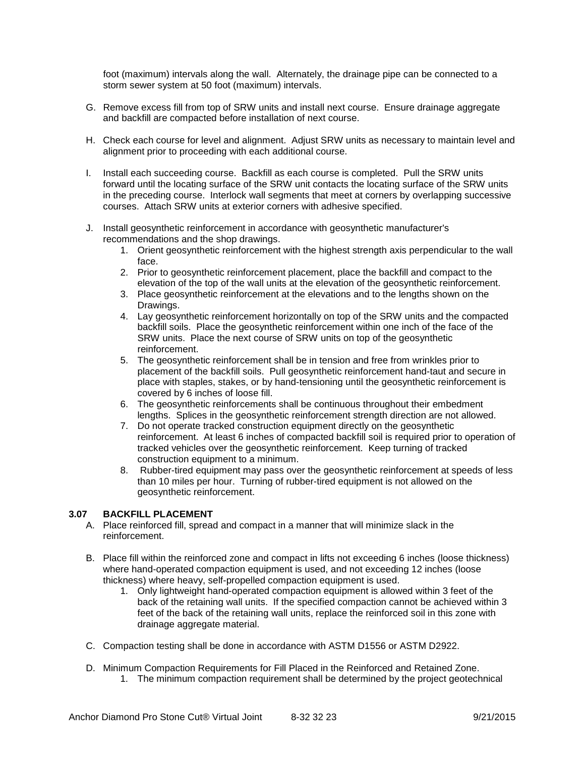foot (maximum) intervals along the wall. Alternately, the drainage pipe can be connected to a storm sewer system at 50 foot (maximum) intervals.

- G. Remove excess fill from top of SRW units and install next course. Ensure drainage aggregate and backfill are compacted before installation of next course.
- H. Check each course for level and alignment. Adjust SRW units as necessary to maintain level and alignment prior to proceeding with each additional course.
- I. Install each succeeding course. Backfill as each course is completed. Pull the SRW units forward until the locating surface of the SRW unit contacts the locating surface of the SRW units in the preceding course. Interlock wall segments that meet at corners by overlapping successive courses. Attach SRW units at exterior corners with adhesive specified.
- J. Install geosynthetic reinforcement in accordance with geosynthetic manufacturer's recommendations and the shop drawings.
	- 1. Orient geosynthetic reinforcement with the highest strength axis perpendicular to the wall face.
	- 2. Prior to geosynthetic reinforcement placement, place the backfill and compact to the elevation of the top of the wall units at the elevation of the geosynthetic reinforcement.
	- 3. Place geosynthetic reinforcement at the elevations and to the lengths shown on the Drawings.
	- 4. Lay geosynthetic reinforcement horizontally on top of the SRW units and the compacted backfill soils. Place the geosynthetic reinforcement within one inch of the face of the SRW units. Place the next course of SRW units on top of the geosynthetic reinforcement.
	- 5. The geosynthetic reinforcement shall be in tension and free from wrinkles prior to placement of the backfill soils. Pull geosynthetic reinforcement hand-taut and secure in place with staples, stakes, or by hand-tensioning until the geosynthetic reinforcement is covered by 6 inches of loose fill.
	- 6. The geosynthetic reinforcements shall be continuous throughout their embedment lengths. Splices in the geosynthetic reinforcement strength direction are not allowed.
	- 7. Do not operate tracked construction equipment directly on the geosynthetic reinforcement. At least 6 inches of compacted backfill soil is required prior to operation of tracked vehicles over the geosynthetic reinforcement. Keep turning of tracked construction equipment to a minimum.
	- 8. Rubber-tired equipment may pass over the geosynthetic reinforcement at speeds of less than 10 miles per hour. Turning of rubber-tired equipment is not allowed on the geosynthetic reinforcement.

# **3.07 BACKFILL PLACEMENT**

- A. Place reinforced fill, spread and compact in a manner that will minimize slack in the reinforcement.
- B. Place fill within the reinforced zone and compact in lifts not exceeding 6 inches (loose thickness) where hand-operated compaction equipment is used, and not exceeding 12 inches (loose thickness) where heavy, self-propelled compaction equipment is used.
	- 1. Only lightweight hand-operated compaction equipment is allowed within 3 feet of the back of the retaining wall units. If the specified compaction cannot be achieved within 3 feet of the back of the retaining wall units, replace the reinforced soil in this zone with drainage aggregate material.
- C. Compaction testing shall be done in accordance with ASTM D1556 or ASTM D2922.
- D. Minimum Compaction Requirements for Fill Placed in the Reinforced and Retained Zone. 1. The minimum compaction requirement shall be determined by the project geotechnical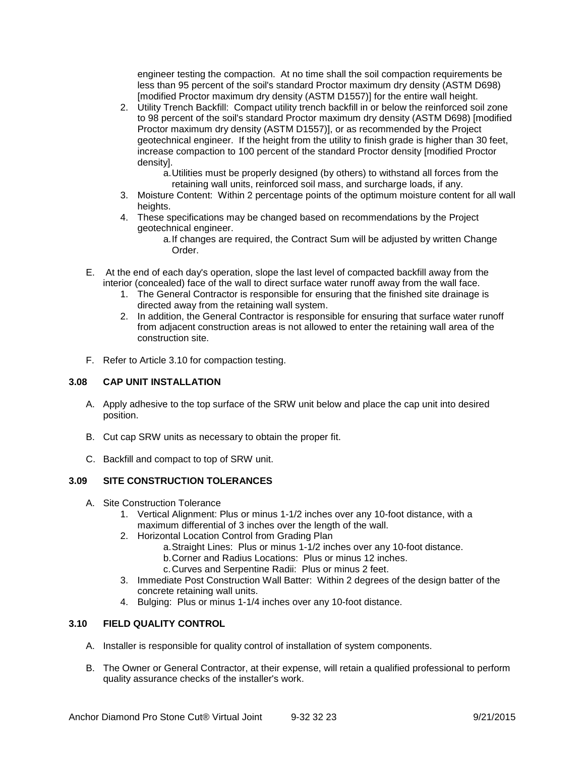engineer testing the compaction. At no time shall the soil compaction requirements be less than 95 percent of the soil's standard Proctor maximum dry density (ASTM D698) [modified Proctor maximum dry density (ASTM D1557)] for the entire wall height.

- 2. Utility Trench Backfill: Compact utility trench backfill in or below the reinforced soil zone to 98 percent of the soil's standard Proctor maximum dry density (ASTM D698) [modified Proctor maximum dry density (ASTM D1557)], or as recommended by the Project geotechnical engineer. If the height from the utility to finish grade is higher than 30 feet, increase compaction to 100 percent of the standard Proctor density [modified Proctor density].
	- a.Utilities must be properly designed (by others) to withstand all forces from the retaining wall units, reinforced soil mass, and surcharge loads, if any.
- 3. Moisture Content: Within 2 percentage points of the optimum moisture content for all wall heights.
- 4. These specifications may be changed based on recommendations by the Project geotechnical engineer.
	- a.If changes are required, the Contract Sum will be adjusted by written Change Order.
- E. At the end of each day's operation, slope the last level of compacted backfill away from the interior (concealed) face of the wall to direct surface water runoff away from the wall face.
	- 1. The General Contractor is responsible for ensuring that the finished site drainage is directed away from the retaining wall system.
	- 2. In addition, the General Contractor is responsible for ensuring that surface water runoff from adjacent construction areas is not allowed to enter the retaining wall area of the construction site.
- F. Refer to Article 3.10 for compaction testing.

### **3.08 CAP UNIT INSTALLATION**

- A. Apply adhesive to the top surface of the SRW unit below and place the cap unit into desired position.
- B. Cut cap SRW units as necessary to obtain the proper fit.
- C. Backfill and compact to top of SRW unit.

# **3.09 SITE CONSTRUCTION TOLERANCES**

- A. Site Construction Tolerance
	- 1. Vertical Alignment: Plus or minus 1-1/2 inches over any 10-foot distance, with a maximum differential of 3 inches over the length of the wall.
	- 2. Horizontal Location Control from Grading Plan
		- a.Straight Lines: Plus or minus 1-1/2 inches over any 10-foot distance.
		- b.Corner and Radius Locations: Plus or minus 12 inches.
		- c.Curves and Serpentine Radii: Plus or minus 2 feet.
	- 3. Immediate Post Construction Wall Batter: Within 2 degrees of the design batter of the concrete retaining wall units.
	- 4. Bulging: Plus or minus 1-1/4 inches over any 10-foot distance.

# **3.10 FIELD QUALITY CONTROL**

- A. Installer is responsible for quality control of installation of system components.
- B. The Owner or General Contractor, at their expense, will retain a qualified professional to perform quality assurance checks of the installer's work.